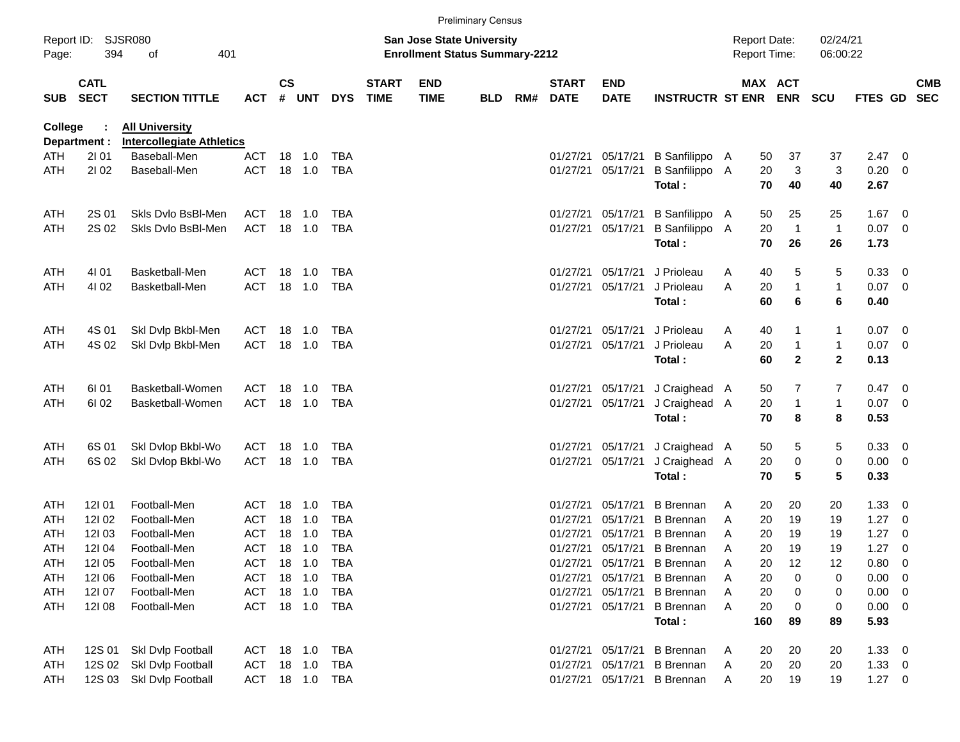|                                                 |                            |                                                           |                |               |         |            |                             |                                                                           | <b>Preliminary Census</b> |     |                             |                           |                             |                                            |                       |                      |              |                         |                          |
|-------------------------------------------------|----------------------------|-----------------------------------------------------------|----------------|---------------|---------|------------|-----------------------------|---------------------------------------------------------------------------|---------------------------|-----|-----------------------------|---------------------------|-----------------------------|--------------------------------------------|-----------------------|----------------------|--------------|-------------------------|--------------------------|
| Report ID: SJSR080<br>394<br>401<br>Page:<br>of |                            |                                                           |                |               |         |            |                             | <b>San Jose State University</b><br><b>Enrollment Status Summary-2212</b> |                           |     |                             |                           |                             | <b>Report Date:</b><br><b>Report Time:</b> |                       | 02/24/21<br>06:00:22 |              |                         |                          |
| <b>SUB</b>                                      | <b>CATL</b><br><b>SECT</b> | <b>SECTION TITTLE</b>                                     | <b>ACT</b>     | $\mathsf{cs}$ | # UNT   | <b>DYS</b> | <b>START</b><br><b>TIME</b> | <b>END</b><br><b>TIME</b>                                                 | <b>BLD</b>                | RM# | <b>START</b><br><b>DATE</b> | <b>END</b><br><b>DATE</b> | <b>INSTRUCTR ST ENR</b>     |                                            | MAX ACT<br><b>ENR</b> | <b>SCU</b>           | FTES GD      |                         | <b>CMB</b><br><b>SEC</b> |
| College                                         | Department :               | <b>All University</b><br><b>Intercollegiate Athletics</b> |                |               |         |            |                             |                                                                           |                           |     |                             |                           |                             |                                            |                       |                      |              |                         |                          |
| <b>ATH</b>                                      | 2101                       | Baseball-Men                                              | <b>ACT</b>     |               | 18 1.0  | <b>TBA</b> |                             |                                                                           |                           |     | 01/27/21                    | 05/17/21                  | B Sanfilippo A              | 50                                         | 37                    | 37                   | 2.47         | 0                       |                          |
| ATH                                             | 2102                       | Baseball-Men                                              | <b>ACT</b>     |               | 18 1.0  | <b>TBA</b> |                             |                                                                           |                           |     | 01/27/21                    | 05/17/21                  | B Sanfilippo A<br>Total:    | 20<br>70                                   | 3<br>40               | 3<br>40              | 0.20<br>2.67 | 0                       |                          |
| ATH                                             | 2S 01                      | Skls Dvlo BsBI-Men                                        | ACT            |               | 18 1.0  | TBA        |                             |                                                                           |                           |     | 01/27/21                    | 05/17/21                  | B Sanfilippo A              | 50                                         | 25                    | 25                   | 1.67         | 0                       |                          |
| ATH                                             | 2S 02                      | Skls Dvlo BsBI-Men                                        | ACT            |               | 18 1.0  | <b>TBA</b> |                             |                                                                           |                           |     | 01/27/21                    | 05/17/21                  | B Sanfilippo A<br>Total:    | 20<br>70                                   | $\overline{1}$<br>26  | $\overline{1}$<br>26 | 0.07<br>1.73 | 0                       |                          |
| ATH                                             | 4101                       | Basketball-Men                                            | ACT            | 18            | 1.0     | <b>TBA</b> |                             |                                                                           |                           |     | 01/27/21                    | 05/17/21                  | J Prioleau                  | 40<br>A                                    | 5                     | 5                    | 0.33         | - 0                     |                          |
| ATH                                             | 4102                       | Basketball-Men                                            | <b>ACT</b>     |               | 18 1.0  | <b>TBA</b> |                             |                                                                           |                           |     | 01/27/21                    | 05/17/21                  | J Prioleau                  | 20<br>A                                    | 1                     | $\mathbf{1}$         | 0.07         | 0                       |                          |
|                                                 |                            |                                                           |                |               |         |            |                             |                                                                           |                           |     |                             |                           | Total:                      | 60                                         | 6                     | 6                    | 0.40         |                         |                          |
| ATH                                             | 4S 01                      | Skl Dvlp Bkbl-Men                                         | ACT            | 18            | 1.0     | <b>TBA</b> |                             |                                                                           |                           |     | 01/27/21                    | 05/17/21                  | J Prioleau                  | 40<br>A                                    | 1                     | 1                    | 0.07         | 0                       |                          |
| ATH                                             | 4S 02                      | Skl Dvlp Bkbl-Men                                         | <b>ACT</b>     |               | 18 1.0  | <b>TBA</b> |                             |                                                                           |                           |     | 01/27/21                    | 05/17/21                  | J Prioleau                  | 20<br>A                                    | $\mathbf{1}$          | $\mathbf{1}$         | 0.07         | 0                       |                          |
|                                                 |                            |                                                           |                |               |         |            |                             |                                                                           |                           |     |                             |                           | Total:                      | 60                                         | $\mathbf{2}$          | $\mathbf{2}$         | 0.13         |                         |                          |
| ATH                                             | 61 01                      | Basketball-Women                                          | ACT            | 18            | 1.0     | TBA        |                             |                                                                           |                           |     | 01/27/21                    | 05/17/21                  | J Craighead A               | 50                                         | 7                     | 7                    | 0.47         | 0                       |                          |
| ATH                                             | 61 02                      | Basketball-Women                                          | <b>ACT</b>     |               | 18 1.0  | <b>TBA</b> |                             |                                                                           |                           |     | 01/27/21                    | 05/17/21                  | J Craighead A               | 20                                         | 1                     | $\mathbf{1}$         | 0.07         | 0                       |                          |
|                                                 |                            |                                                           |                |               |         |            |                             |                                                                           |                           |     |                             |                           | Total:                      | 70                                         | 8                     | 8                    | 0.53         |                         |                          |
| ATH                                             | 6S 01                      | Skl Dvlop Bkbl-Wo                                         | ACT            | 18            | 1.0     | <b>TBA</b> |                             |                                                                           |                           |     | 01/27/21                    | 05/17/21                  | J Craighead A               | 50                                         | 5                     | 5                    | 0.33         | $\overline{\mathbf{0}}$ |                          |
| ATH                                             | 6S 02                      | Skl Dvlop Bkbl-Wo                                         | <b>ACT</b>     |               | 18 1.0  | <b>TBA</b> |                             |                                                                           |                           |     | 01/27/21                    | 05/17/21                  | J Craighead A               | 20                                         | $\pmb{0}$             | 0                    | 0.00         | 0                       |                          |
|                                                 |                            |                                                           |                |               |         |            |                             |                                                                           |                           |     |                             |                           | Total:                      | 70                                         | 5                     | 5                    | 0.33         |                         |                          |
| ATH                                             | 121 01                     | Football-Men                                              | ACT            | 18            | 1.0     | <b>TBA</b> |                             |                                                                           |                           |     | 01/27/21                    | 05/17/21                  | <b>B</b> Brennan            | 20<br>A                                    | 20                    | 20                   | 1.33         | 0                       |                          |
| ATH                                             | 121 02                     | Football-Men                                              | <b>ACT</b>     | 18            | 1.0     | <b>TBA</b> |                             |                                                                           |                           |     | 01/27/21                    | 05/17/21                  | <b>B</b> Brennan            | 20<br>A                                    | 19                    | 19                   | 1.27         | 0                       |                          |
| ATH                                             | 12103                      | Football-Men                                              | <b>ACT</b>     | 18            | 1.0     | <b>TBA</b> |                             |                                                                           |                           |     | 01/27/21                    | 05/17/21                  | <b>B</b> Brennan            | 20<br>A                                    | 19                    | 19                   | 1.27         | 0                       |                          |
| ATH                                             | 12104                      | Football-Men                                              | <b>ACT</b>     |               | 18 1.0  | <b>TBA</b> |                             |                                                                           |                           |     | 01/27/21                    |                           | 05/17/21 B Brennan          | 20<br>A                                    | 19                    | 19                   | 1.27         | 0                       |                          |
| <b>ATH</b>                                      | 121 05                     | Football-Men                                              | <b>ACT</b>     |               | 18  1.0 | TBA        |                             |                                                                           |                           |     | 01/27/21                    |                           | 05/17/21 B Brennan          | 20<br>A                                    | 12                    | 12                   | 0.80         | 0                       |                          |
| ATH                                             | 12106                      | Football-Men                                              | ACT            |               | 18 1.0  | <b>TBA</b> |                             |                                                                           |                           |     | 01/27/21                    |                           | 05/17/21 B Brennan          | 20<br>A                                    | 0                     | 0                    | 0.00         | 0                       |                          |
| ATH                                             | 12107                      | Football-Men                                              | <b>ACT</b>     |               | 18 1.0  | TBA        |                             |                                                                           |                           |     | 01/27/21                    |                           | 05/17/21 B Brennan          | 20<br>A                                    | 0                     | 0                    | 0.00         | 0                       |                          |
| ATH                                             | 12108                      | Football-Men                                              | ACT 18 1.0 TBA |               |         |            |                             |                                                                           |                           |     |                             | 01/27/21 05/17/21         | <b>B</b> Brennan            | 20<br>A                                    | 0                     | 0                    | 0.00         | 0                       |                          |
|                                                 |                            |                                                           |                |               |         |            |                             |                                                                           |                           |     |                             |                           | Total:                      | 160                                        | 89                    | 89                   | 5.93         |                         |                          |
| ATH                                             | 12S 01                     | Skl Dvlp Football                                         | ACT 18 1.0     |               |         | TBA        |                             |                                                                           |                           |     |                             |                           | 01/27/21 05/17/21 B Brennan | 20<br>A                                    | 20                    | 20                   | $1.33 \ 0$   |                         |                          |
| ATH                                             | 12S 02                     | Skl Dvlp Football                                         | ACT            |               | 18 1.0  | TBA        |                             |                                                                           |                           |     |                             |                           | 01/27/21 05/17/21 B Brennan | 20<br>A                                    | 20                    | 20                   | $1.33 \ 0$   |                         |                          |
| ATH                                             |                            | 12S 03 Skl Dvlp Football                                  | ACT 18 1.0 TBA |               |         |            |                             |                                                                           |                           |     |                             |                           | 01/27/21 05/17/21 B Brennan | A                                          | 20<br>19              | 19                   | $1.27 \t 0$  |                         |                          |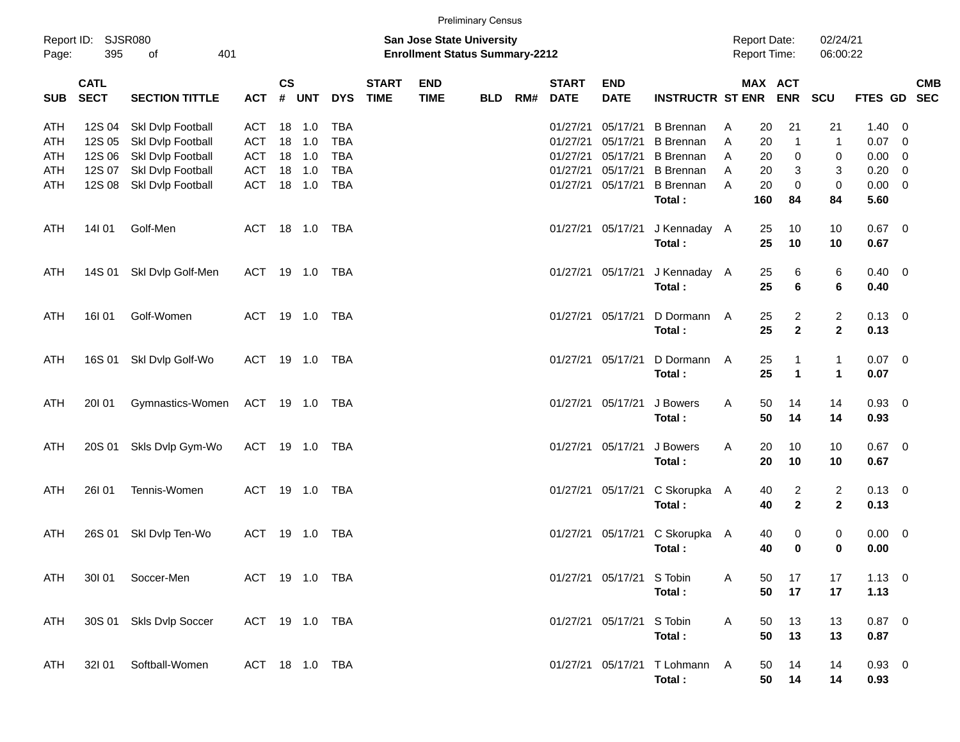| <b>Preliminary Census</b> |  |
|---------------------------|--|
|---------------------------|--|

| Report ID: SJSR080<br>395<br>Page: |                            | 401<br>of                                            |                   |               |                  |                          |                             | San Jose State University<br><b>Enrollment Status Summary-2212</b> |            |     |                             |                           |                                                 |        | <b>Report Date:</b><br><b>Report Time:</b> |                      | 02/24/21<br>06:00:22 |                  |                         |            |
|------------------------------------|----------------------------|------------------------------------------------------|-------------------|---------------|------------------|--------------------------|-----------------------------|--------------------------------------------------------------------|------------|-----|-----------------------------|---------------------------|-------------------------------------------------|--------|--------------------------------------------|----------------------|----------------------|------------------|-------------------------|------------|
| <b>SUB</b>                         | <b>CATL</b><br><b>SECT</b> | <b>SECTION TITTLE</b>                                |                   | $\mathsf{cs}$ | ACT # UNT        | <b>DYS</b>               | <b>START</b><br><b>TIME</b> | <b>END</b><br><b>TIME</b>                                          | <b>BLD</b> | RM# | <b>START</b><br><b>DATE</b> | <b>END</b><br><b>DATE</b> | <b>INSTRUCTR ST ENR ENR</b>                     |        | MAX ACT                                    |                      | SCU                  | FTES GD SEC      |                         | <b>CMB</b> |
| ATH<br>ATH                         |                            | 12S 04 Skl Dvlp Football<br>12S 05 Skl Dvlp Football | ACT<br><b>ACT</b> |               | 18 1.0<br>18 1.0 | <b>TBA</b><br><b>TBA</b> |                             |                                                                    |            |     |                             | 01/27/21 05/17/21         | <b>B</b> Brennan<br>01/27/21 05/17/21 B Brennan | A<br>A | 20<br>20                                   | 21<br>$\mathbf{1}$   | 21<br>$\mathbf{1}$   | 1.40<br>$0.07$ 0 | $\overline{\mathbf{0}}$ |            |
| ATH                                |                            | 12S 06 Skl Dvlp Football                             | ACT 18 1.0        |               |                  | TBA                      |                             |                                                                    |            |     |                             |                           | 01/27/21 05/17/21 B Brennan                     | A      | 20                                         | 0                    | 0                    | $0.00 \t 0$      |                         |            |
| ATH                                |                            | 12S 07 Skl Dvlp Football                             | ACT 18 1.0        |               |                  | TBA                      |                             |                                                                    |            |     |                             |                           | 01/27/21 05/17/21 B Brennan                     | A      | 20                                         | 3                    | 3                    | $0.20 \ 0$       |                         |            |
| ATH                                |                            | 12S 08 Skl Dvlp Football                             | ACT 18 1.0        |               |                  | TBA                      |                             |                                                                    |            |     |                             |                           | 01/27/21 05/17/21 B Brennan                     | A      | 20                                         | $\pmb{0}$            | $\mathbf 0$          | $0.00 \t 0$      |                         |            |
|                                    |                            |                                                      |                   |               |                  |                          |                             |                                                                    |            |     |                             |                           | Total:                                          |        | 160                                        | 84                   | 84                   | 5.60             |                         |            |
| ATH                                | 14I 01                     | Golf-Men                                             | ACT 18 1.0        |               |                  | TBA                      |                             |                                                                    |            |     |                             |                           | 01/27/21 05/17/21 J Kennaday A                  |        | 25                                         | 10                   | 10                   | $0.67$ 0         |                         |            |
|                                    |                            |                                                      |                   |               |                  |                          |                             |                                                                    |            |     |                             |                           | Total:                                          |        | 25                                         | 10                   | 10                   | 0.67             |                         |            |
| ATH                                |                            | 14S 01 Skl Dvlp Golf-Men                             |                   |               | ACT 19 1.0 TBA   |                          |                             |                                                                    |            |     |                             |                           | 01/27/21 05/17/21 J Kennaday A                  |        | 25                                         | 6                    | 6                    | $0.40 \quad 0$   |                         |            |
|                                    |                            |                                                      |                   |               |                  |                          |                             |                                                                    |            |     |                             |                           | Total:                                          |        | 25                                         | 6                    | 6                    | 0.40             |                         |            |
| ATH                                | 16101                      | Golf-Women                                           | ACT 19 1.0        |               |                  | TBA                      |                             |                                                                    |            |     |                             | 01/27/21 05/17/21         | D Dormann A                                     |        | 25                                         | $\overline{2}$       | $\overline{2}$       | $0.13 \quad 0$   |                         |            |
|                                    |                            |                                                      |                   |               |                  |                          |                             |                                                                    |            |     |                             |                           | Total:                                          |        | 25                                         | $\mathbf{2}$         | $\mathbf{2}$         | 0.13             |                         |            |
| ATH                                |                            | 16S 01 SkI Dvlp Golf-Wo                              | ACT 19 1.0        |               |                  | TBA                      |                             |                                                                    |            |     |                             | 01/27/21 05/17/21         | D Dormann A                                     |        | 25                                         | $\mathbf{1}$         | $\mathbf{1}$         | $0.07 \ 0$       |                         |            |
|                                    |                            |                                                      |                   |               |                  |                          |                             |                                                                    |            |     |                             |                           | Total:                                          |        | 25                                         | $\blacktriangleleft$ | $\mathbf{1}$         | 0.07             |                         |            |
| ATH                                | <b>20101</b>               | Gymnastics-Women ACT 19 1.0 TBA                      |                   |               |                  |                          |                             |                                                                    |            |     |                             | 01/27/21 05/17/21         | J Bowers                                        | A      | 50                                         | 14                   | 14                   | $0.93$ 0         |                         |            |
|                                    |                            |                                                      |                   |               |                  |                          |                             |                                                                    |            |     |                             |                           | Total:                                          |        | 50                                         | 14                   | 14                   | 0.93             |                         |            |
| ATH                                |                            | 20S 01 Skls Dvlp Gym-Wo                              | ACT 19 1.0        |               |                  | TBA                      |                             |                                                                    |            |     |                             | 01/27/21 05/17/21         | J Bowers                                        | A      | 20                                         | 10                   | 10                   | $0.67$ 0         |                         |            |
|                                    |                            |                                                      |                   |               |                  |                          |                             |                                                                    |            |     |                             |                           | Total:                                          |        | 20                                         | 10                   | 10                   | 0.67             |                         |            |
| ATH                                | <b>26101</b>               | Tennis-Women                                         | ACT 19 1.0        |               |                  | TBA                      |                             |                                                                    |            |     |                             |                           | 01/27/21 05/17/21 C Skorupka A                  |        | 40                                         | $\overline{c}$       | $\overline{a}$       | $0.13 \quad 0$   |                         |            |
|                                    |                            |                                                      |                   |               |                  |                          |                             |                                                                    |            |     |                             |                           | Total:                                          |        | 40                                         | $\overline{2}$       | $\overline{2}$       | 0.13             |                         |            |
| ATH                                |                            | 26S 01 Skl Dvlp Ten-Wo                               | ACT               |               | 19 1.0           | TBA                      |                             |                                                                    |            |     |                             |                           | 01/27/21 05/17/21 C Skorupka A                  |        | 40                                         | 0                    | 0                    | $0.00 \t 0$      |                         |            |
|                                    |                            |                                                      |                   |               |                  |                          |                             |                                                                    |            |     |                             |                           | Total:                                          |        | 40                                         | 0                    | 0                    | 0.00             |                         |            |
| ATH                                |                            | 301 01 Soccer-Men                                    |                   |               | ACT 19 1.0 TBA   |                          |                             |                                                                    |            |     |                             | 01/27/21 05/17/21 S Tobin |                                                 | Α      | 50                                         | 17                   | 17                   | $1.13 \ 0$       |                         |            |
|                                    |                            |                                                      |                   |               |                  |                          |                             |                                                                    |            |     |                             |                           | Total:                                          |        | 50                                         | 17                   | 17                   | 1.13             |                         |            |
| ATH                                |                            | 30S 01 Skls Dvlp Soccer                              | ACT 19 1.0 TBA    |               |                  |                          |                             |                                                                    |            |     |                             | 01/27/21 05/17/21 S Tobin |                                                 | A      | 50                                         | 13                   | 13                   | $0.87$ 0         |                         |            |
|                                    |                            |                                                      |                   |               |                  |                          |                             |                                                                    |            |     |                             |                           | Total:                                          |        | 50                                         | 13                   | 13                   | 0.87             |                         |            |
| ATH                                | 32101                      | Softball-Women                                       | ACT 18 1.0 TBA    |               |                  |                          |                             |                                                                    |            |     |                             |                           | 01/27/21 05/17/21 T Lohmann A                   |        | 50                                         | 14                   | 14                   | $0.93 \ 0$       |                         |            |
|                                    |                            |                                                      |                   |               |                  |                          |                             |                                                                    |            |     |                             |                           | Total:                                          |        | 50                                         | 14                   | 14                   | 0.93             |                         |            |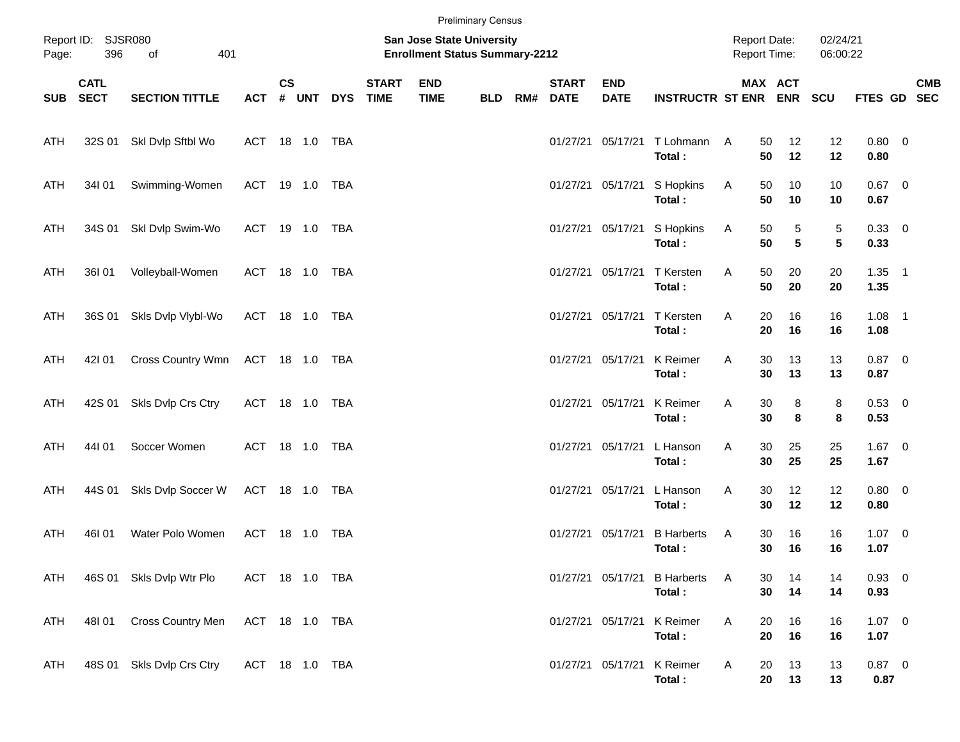|                                                 | <b>Preliminary Census</b>  |                           |                |               |       |            |                             |                                                                    |            |     |                             |                           |                             |                                            |                      |                      |                     |  |            |
|-------------------------------------------------|----------------------------|---------------------------|----------------|---------------|-------|------------|-----------------------------|--------------------------------------------------------------------|------------|-----|-----------------------------|---------------------------|-----------------------------|--------------------------------------------|----------------------|----------------------|---------------------|--|------------|
| Report ID: SJSR080<br>396<br>401<br>Page:<br>of |                            |                           |                |               |       |            |                             | San Jose State University<br><b>Enrollment Status Summary-2212</b> |            |     |                             |                           |                             | <b>Report Date:</b><br><b>Report Time:</b> |                      | 02/24/21<br>06:00:22 |                     |  |            |
| <b>SUB</b>                                      | <b>CATL</b><br><b>SECT</b> | <b>SECTION TITTLE</b>     | <b>ACT</b>     | $\mathsf{cs}$ | # UNT | <b>DYS</b> | <b>START</b><br><b>TIME</b> | <b>END</b><br><b>TIME</b>                                          | <b>BLD</b> | RM# | <b>START</b><br><b>DATE</b> | <b>END</b><br><b>DATE</b> | <b>INSTRUCTR ST ENR ENR</b> |                                            | MAX ACT              | <b>SCU</b>           | FTES GD SEC         |  | <b>CMB</b> |
| ATH                                             |                            | 32S 01 SkI Dvlp Sftbl Wo  | ACT 18 1.0 TBA |               |       |            |                             |                                                                    |            |     |                             | 01/27/21 05/17/21         | T Lohmann<br>Total:         | 50<br>A<br>50                              | 12<br>12             | 12<br>12             | $0.80 \ 0$<br>0.80  |  |            |
| ATH                                             | 34101                      | Swimming-Women            | ACT 19 1.0 TBA |               |       |            |                             |                                                                    |            |     |                             | 01/27/21 05/17/21         | S Hopkins<br>Total:         | 50<br>A<br>50                              | 10<br>10             | 10<br>10             | $0.67$ 0<br>0.67    |  |            |
| ATH                                             | 34S 01                     | Skl Dvlp Swim-Wo          | ACT 19 1.0 TBA |               |       |            |                             |                                                                    |            |     |                             | 01/27/21 05/17/21         | S Hopkins<br>Total:         | 50<br>A<br>50                              | 5<br>$5\phantom{.0}$ | $\mathbf 5$<br>5     | $0.33 \ 0$<br>0.33  |  |            |
| ATH                                             | 36I 01                     | Volleyball-Women          | ACT 18 1.0 TBA |               |       |            |                             |                                                                    |            |     |                             | 01/27/21 05/17/21         | <b>T</b> Kersten<br>Total:  | 50<br>Α<br>50                              | 20<br>20             | 20<br>20             | $1.35$ 1<br>1.35    |  |            |
| ATH                                             | 36S 01                     | Skls Dvlp Vlybl-Wo        | ACT 18 1.0 TBA |               |       |            |                             |                                                                    |            |     |                             | 01/27/21 05/17/21         | <b>T</b> Kersten<br>Total:  | 20<br>Α<br>20                              | 16<br>16             | 16<br>16             | $1.08$ 1<br>1.08    |  |            |
| ATH                                             | 421 01                     | Cross Country Wmn         | ACT 18 1.0 TBA |               |       |            |                             |                                                                    |            |     |                             | 01/27/21 05/17/21         | K Reimer<br>Total:          | 30<br>Α<br>30                              | 13<br>13             | 13<br>13             | $0.87 \ 0$<br>0.87  |  |            |
| ATH                                             | 42S 01                     | Skls Dvlp Crs Ctry        | ACT 18 1.0 TBA |               |       |            |                             |                                                                    |            |     | 01/27/21 05/17/21           |                           | K Reimer<br>Total:          | 30<br>Α<br>30                              | 8<br>8               | 8<br>8               | $0.53 \ 0$<br>0.53  |  |            |
| ATH                                             | 44101                      | Soccer Women              | ACT 18 1.0 TBA |               |       |            |                             |                                                                    |            |     |                             | 01/27/21 05/17/21         | L Hanson<br>Total:          | 30<br>Α<br>30                              | 25<br>25             | 25<br>25             | $1.67$ 0<br>1.67    |  |            |
| ATH                                             | 44S 01                     | Skls Dvlp Soccer W        | ACT 18 1.0 TBA |               |       |            |                             |                                                                    |            |     |                             | 01/27/21 05/17/21         | L Hanson<br>Total:          | 30<br>Α<br>30                              | 12<br>12             | 12<br>12             | $0.80 \ 0$<br>0.80  |  |            |
| ATH                                             | 46I01                      | Water Polo Women          | ACT 18 1.0     |               |       | TBA        |                             |                                                                    |            |     | 01/27/21 05/17/21           |                           | <b>B</b> Harberts<br>Total: | A<br>30<br>30                              | 16<br>16             | 16<br>16             | $1.07 \t 0$<br>1.07 |  |            |
| ATH                                             |                            | 46S 01 Skls Dvlp Wtr Plo  | ACT 18 1.0 TBA |               |       |            |                             |                                                                    |            |     |                             | 01/27/21 05/17/21         | <b>B</b> Harberts<br>Total: | A<br>30<br>30                              | 14<br>14             | 14<br>14             | 0.93 0<br>0.93      |  |            |
| ATH                                             | 48I 01                     | Cross Country Men         | ACT 18 1.0 TBA |               |       |            |                             |                                                                    |            |     |                             | 01/27/21 05/17/21         | K Reimer<br>Total:          | A<br>20<br>20                              | 16<br>16             | 16<br>16             | $1.07 \t 0$<br>1.07 |  |            |
| ATH                                             |                            | 48S 01 Skls Dvlp Crs Ctry | ACT 18 1.0 TBA |               |       |            |                             |                                                                    |            |     |                             | 01/27/21 05/17/21         | K Reimer<br>Total:          | A<br>20<br>20                              | 13<br>13             | 13<br>13             | $0.87$ 0<br>0.87    |  |            |